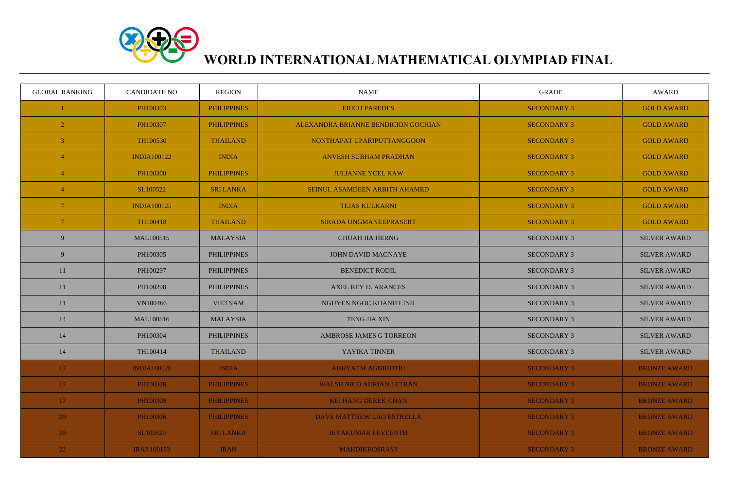

## **WORLD INTERNATIONAL MATHEMATICAL OLYMPIAD FINAL**

| <b>GLOBAL RANKING</b> | <b>CANDIDATE NO</b> | <b>REGION</b>      | <b>NAME</b>                         | <b>GRADE</b>       | <b>AWARD</b>        |
|-----------------------|---------------------|--------------------|-------------------------------------|--------------------|---------------------|
|                       | PH100303            | <b>PHILIPPINES</b> | <b>ERICH PAREDES</b>                | <b>SECONDARY 3</b> | <b>GOLD AWARD</b>   |
| $\overline{2}$        | PH100307            | <b>PHILIPPINES</b> | ALEXANDRA BRIANNE BENDICION GOCHIAN | <b>SECONDARY 3</b> | <b>GOLD AWARD</b>   |
| $\overline{3}$        | TH100530            | <b>THAILAND</b>    | NONTHAPAT UPARIPUTTANGGOON          | <b>SECONDARY 3</b> | <b>GOLD AWARD</b>   |
| $\overline{4}$        | <b>INDIA100122</b>  | <b>INDIA</b>       | <b>ANVESH SUBHAM PRADHAN</b>        | <b>SECONDARY 3</b> | <b>GOLD AWARD</b>   |
| $\overline{4}$        | PH100300            | <b>PHILIPPINES</b> | <b>JULIANNE YCEL KAW</b>            | <b>SECONDARY 3</b> | <b>GOLD AWARD</b>   |
| $\overline{4}$        | SL100522            | <b>SRI LANKA</b>   | SEINUL ASAMDEEN ARBITH AHAMED       | <b>SECONDARY 3</b> | <b>GOLD AWARD</b>   |
| $\overline{7}$        | <b>INDIA100125</b>  | <b>INDIA</b>       | <b>TEJAS KULKARNI</b>               | <b>SECONDARY 3</b> | <b>GOLD AWARD</b>   |
| $\overline{7}$        | TH100418            | <b>THAILAND</b>    | <b>SIRADA UNGMANEEPRASERT</b>       | <b>SECONDARY 3</b> | <b>GOLD AWARD</b>   |
| 9                     | MAL100515           | <b>MALAYSIA</b>    | <b>CHUAH JIA HERNG</b>              | <b>SECONDARY 3</b> | <b>SILVER AWARD</b> |
| 9                     | PH100305            | <b>PHILIPPINES</b> | <b>JOHN DAVID MAGNAYE</b>           | <b>SECONDARY 3</b> | <b>SILVER AWARD</b> |
| 11                    | PH100297            | <b>PHILIPPINES</b> | <b>BENEDICT RODIL</b>               | <b>SECONDARY 3</b> | <b>SILVER AWARD</b> |
| 11                    | PH100298            | <b>PHILIPPINES</b> | <b>AXEL REY D. ARANCES</b>          | <b>SECONDARY 3</b> | <b>SILVER AWARD</b> |
| 11                    | VN100466            | <b>VIETNAM</b>     | NGUYEN NGOC KHANH LINH              | <b>SECONDARY 3</b> | <b>SILVER AWARD</b> |
| 14                    | MAL100516           | <b>MALAYSIA</b>    | TENG JIA XIN                        | <b>SECONDARY 3</b> | <b>SILVER AWARD</b> |
| 14                    | PH100304            | <b>PHILIPPINES</b> | AMBROSE JAMES G TORREON             | <b>SECONDARY 3</b> | <b>SILVER AWARD</b> |
| 14                    | TH100414            | <b>THAILAND</b>    | YAYIKA TINNER                       | <b>SECONDARY 3</b> | <b>SILVER AWARD</b> |
| 17                    | <b>INDIA100120</b>  | <b>INDIA</b>       | <b>ADHYATM AGNIHOTRI</b>            | <b>SECONDARY 3</b> | <b>BRONZE AWARD</b> |
| 17                    | PH100308            | <b>PHILIPPINES</b> | <b>WALSH NICO ADRIAN LETRAN</b>     | <b>SECONDARY 3</b> | <b>BRONZE AWARD</b> |
| 17                    | PH100309            | <b>PHILIPPINES</b> | <b>KEI HANG DEREK CHAN</b>          | <b>SECONDARY 3</b> | <b>BRONZE AWARD</b> |
| 20                    | PH100306            | <b>PHILIPPINES</b> | DAVE MATTHEW LAO ESTRELLA           | <b>SECONDARY 3</b> | <b>BRONZE AWARD</b> |
| 20                    | SL100520            | <b>SRI LANKA</b>   | <b>JEYAKUMAR LEVEENTH</b>           | <b>SECONDARY 3</b> | <b>BRONZE AWARD</b> |
| 22                    | <b>IRAN100183</b>   | <b>IRAN</b>        | <b>MAHDIKHOSRAVI</b>                | <b>SECONDARY 3</b> | <b>BRONZE AWARD</b> |